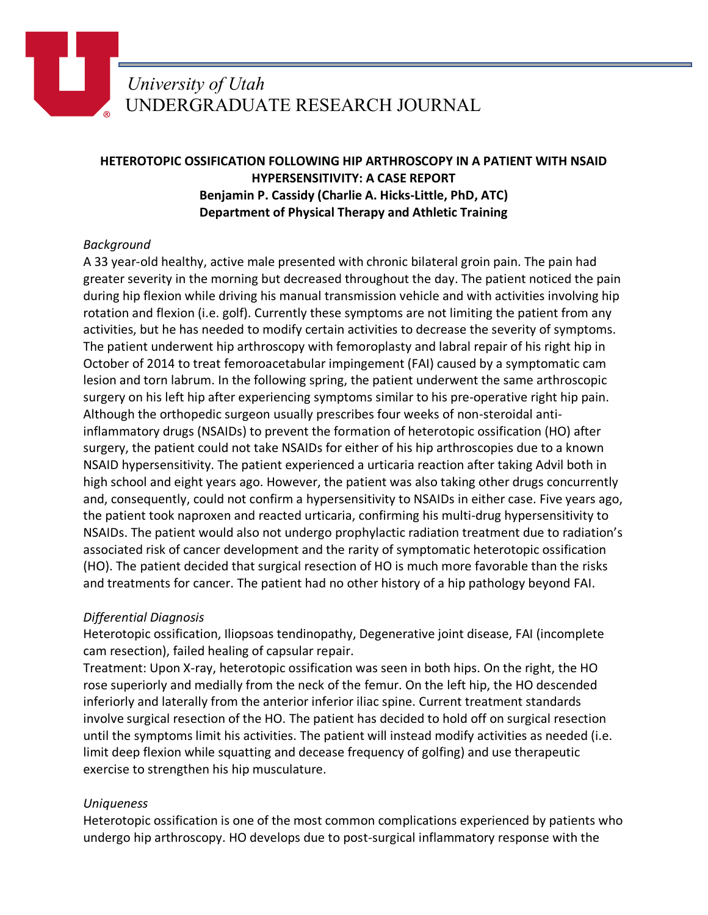# *University of Utah* UNDERGRADUATE RESEARCH JOURNAL

## **HETEROTOPIC OSSIFICATION FOLLOWING HIP ARTHROSCOPY IN A PATIENT WITH NSAID HYPERSENSITIVITY: A CASE REPORT Benjamin P. Cassidy (Charlie A. Hicks-Little, PhD, ATC) Department of Physical Therapy and Athletic Training**

### *Background*

A 33 year-old healthy, active male presented with chronic bilateral groin pain. The pain had greater severity in the morning but decreased throughout the day. The patient noticed the pain during hip flexion while driving his manual transmission vehicle and with activities involving hip rotation and flexion (i.e. golf). Currently these symptoms are not limiting the patient from any activities, but he has needed to modify certain activities to decrease the severity of symptoms. The patient underwent hip arthroscopy with femoroplasty and labral repair of his right hip in October of 2014 to treat femoroacetabular impingement (FAI) caused by a symptomatic cam lesion and torn labrum. In the following spring, the patient underwent the same arthroscopic surgery on his left hip after experiencing symptoms similar to his pre-operative right hip pain. Although the orthopedic surgeon usually prescribes four weeks of non-steroidal antiinflammatory drugs (NSAIDs) to prevent the formation of heterotopic ossification (HO) after surgery, the patient could not take NSAIDs for either of his hip arthroscopies due to a known NSAID hypersensitivity. The patient experienced a urticaria reaction after taking Advil both in high school and eight years ago. However, the patient was also taking other drugs concurrently and, consequently, could not confirm a hypersensitivity to NSAIDs in either case. Five years ago, the patient took naproxen and reacted urticaria, confirming his multi-drug hypersensitivity to NSAIDs. The patient would also not undergo prophylactic radiation treatment due to radiation's associated risk of cancer development and the rarity of symptomatic heterotopic ossification (HO). The patient decided that surgical resection of HO is much more favorable than the risks and treatments for cancer. The patient had no other history of a hip pathology beyond FAI.

### *Differential Diagnosis*

Heterotopic ossification, Iliopsoas tendinopathy, Degenerative joint disease, FAI (incomplete cam resection), failed healing of capsular repair.

Treatment: Upon X-ray, heterotopic ossification was seen in both hips. On the right, the HO rose superiorly and medially from the neck of the femur. On the left hip, the HO descended inferiorly and laterally from the anterior inferior iliac spine. Current treatment standards involve surgical resection of the HO. The patient has decided to hold off on surgical resection until the symptoms limit his activities. The patient will instead modify activities as needed (i.e. limit deep flexion while squatting and decease frequency of golfing) and use therapeutic exercise to strengthen his hip musculature.

### *Uniqueness*

Heterotopic ossification is one of the most common complications experienced by patients who undergo hip arthroscopy. HO develops due to post-surgical inflammatory response with the